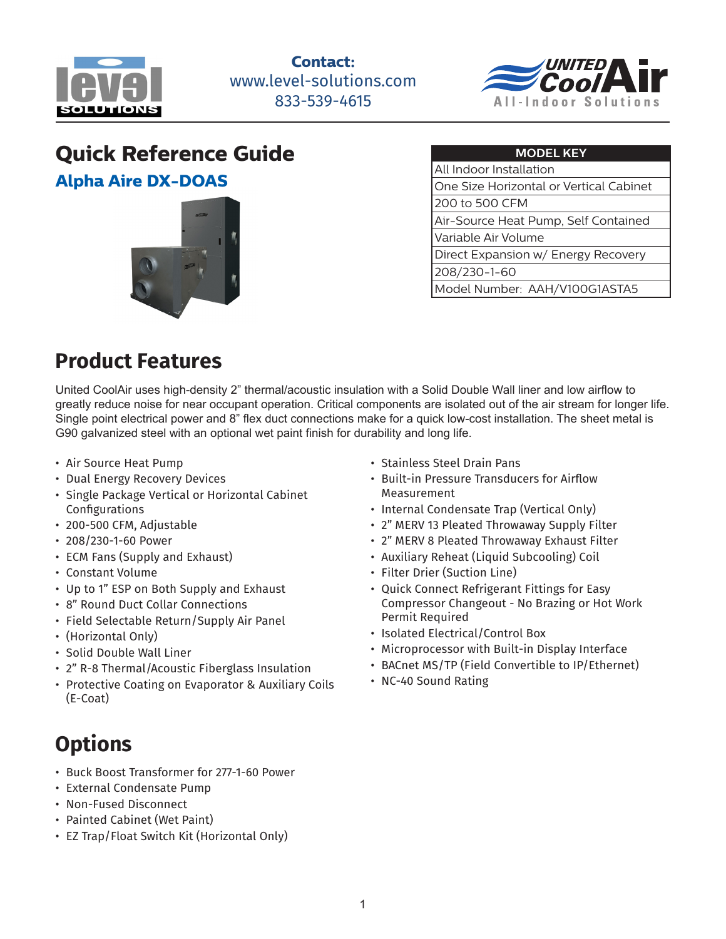

**Contact:** www.level-solutions.com 833-539-4615



#### **Quick Reference Guide Alpha Aire DX-DOAS**



| <b>MODEL KEY</b>                        |  |  |
|-----------------------------------------|--|--|
| All Indoor Installation                 |  |  |
| One Size Horizontal or Vertical Cabinet |  |  |
| l 200 to 500 CFM                        |  |  |
| Air-Source Heat Pump, Self Contained    |  |  |
| Variable Air Volume                     |  |  |
| Direct Expansion w/ Energy Recovery     |  |  |
| 208/230-1-60                            |  |  |
| Model Number: AAH/V100G1ASTA5           |  |  |

### **Product Features**

United CoolAir uses high-density 2" thermal/acoustic insulation with a Solid Double Wall liner and low airflow to greatly reduce noise for near occupant operation. Critical components are isolated out of the air stream for longer life. Single point electrical power and 8" flex duct connections make for a quick low-cost installation. The sheet metal is G90 galvanized steel with an optional wet paint finish for durability and long life.

- Air Source Heat Pump
- Dual Energy Recovery Devices
- Single Package Vertical or Horizontal Cabinet Configurations
- 200-500 CFM, Adjustable
- 208/230-1-60 Power
- ECM Fans (Supply and Exhaust)
- Constant Volume
- Up to 1" ESP on Both Supply and Exhaust
- 8" Round Duct Collar Connections
- Field Selectable Return/Supply Air Panel
- (Horizontal Only)
- Solid Double Wall Liner
- 2" R-8 Thermal/Acoustic Fiberglass Insulation
- Protective Coating on Evaporator & Auxiliary Coils (E-Coat)

# **Options**

- Buck Boost Transformer for 277-1-60 Power
- External Condensate Pump
- Non-Fused Disconnect
- Painted Cabinet (Wet Paint)
- EZ Trap/Float Switch Kit (Horizontal Only)
- Stainless Steel Drain Pans
- Built-in Pressure Transducers for Airflow Measurement
- Internal Condensate Trap (Vertical Only)
- 2" MERV 13 Pleated Throwaway Supply Filter
- 2" MERV 8 Pleated Throwaway Exhaust Filter
- Auxiliary Reheat (Liquid Subcooling) Coil
- Filter Drier (Suction Line)
- Quick Connect Refrigerant Fittings for Easy Compressor Changeout - No Brazing or Hot Work Permit Required
- Isolated Electrical/Control Box
- Microprocessor with Built-in Display Interface
- BACnet MS/TP (Field Convertible to IP/Ethernet)
- NC-40 Sound Rating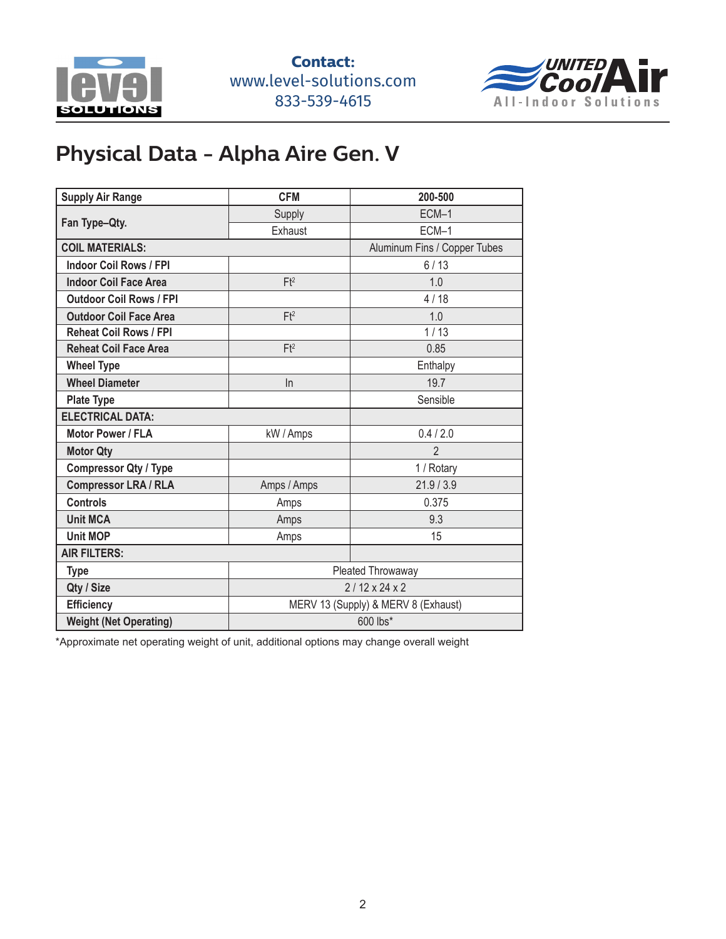



## **Physical Data - Alpha Aire Gen. V**

| <b>Supply Air Range</b>        | <b>CFM</b>                          | 200-500                      |  |
|--------------------------------|-------------------------------------|------------------------------|--|
| Fan Type-Qty.                  | Supply                              | ECM-1                        |  |
|                                | Exhaust                             | ECM-1                        |  |
| <b>COIL MATERIALS:</b>         |                                     | Aluminum Fins / Copper Tubes |  |
| <b>Indoor Coil Rows / FPI</b>  |                                     | 6/13                         |  |
| <b>Indoor Coil Face Area</b>   | Ft <sup>2</sup>                     | 1.0                          |  |
| <b>Outdoor Coil Rows / FPI</b> |                                     | 4/18                         |  |
| <b>Outdoor Coil Face Area</b>  | Ft <sup>2</sup>                     | 1.0                          |  |
| <b>Reheat Coil Rows / FPI</b>  |                                     | 1/13                         |  |
| <b>Reheat Coil Face Area</b>   | Ft <sup>2</sup>                     | 0.85                         |  |
| <b>Wheel Type</b>              |                                     | Enthalpy                     |  |
| <b>Wheel Diameter</b>          | $\ln$                               | 19.7                         |  |
| <b>Plate Type</b>              |                                     | Sensible                     |  |
| <b>ELECTRICAL DATA:</b>        |                                     |                              |  |
| Motor Power / FLA              | kW / Amps                           | 0.4 / 2.0                    |  |
| <b>Motor Qty</b>               |                                     | $\overline{2}$               |  |
| <b>Compressor Qty / Type</b>   |                                     | 1 / Rotary                   |  |
| <b>Compressor LRA / RLA</b>    | Amps / Amps                         | 21.9/3.9                     |  |
| <b>Controls</b>                | Amps                                | 0.375                        |  |
| <b>Unit MCA</b>                | Amps                                | 9.3                          |  |
| <b>Unit MOP</b>                | Amps                                | 15                           |  |
| <b>AIR FILTERS:</b>            |                                     |                              |  |
| <b>Type</b>                    | Pleated Throwaway                   |                              |  |
| Qty / Size                     | $2/12 \times 24 \times 2$           |                              |  |
| <b>Efficiency</b>              | MERV 13 (Supply) & MERV 8 (Exhaust) |                              |  |
| <b>Weight (Net Operating)</b>  | 600 lbs*                            |                              |  |

\*Approximate net operating weight of unit, additional options may change overall weight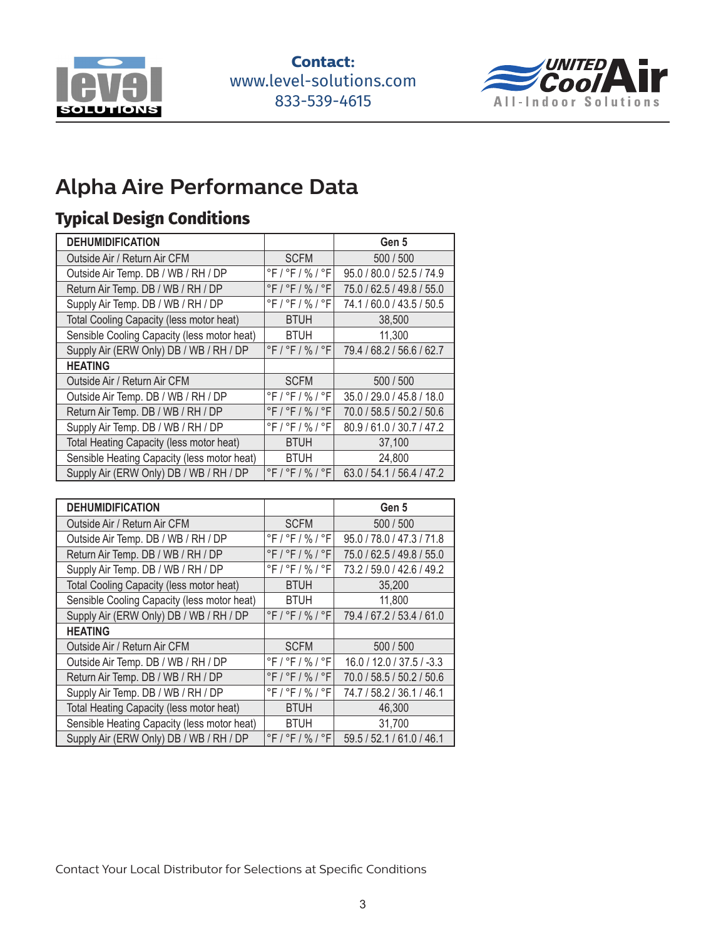



## **Alpha Aire Performance Data**

#### **Typical Design Conditions**

| <b>DEHUMIDIFICATION</b>                     |                    | Gen 5                     |
|---------------------------------------------|--------------------|---------------------------|
| Outside Air / Return Air CFM                | <b>SCFM</b>        | 500 / 500                 |
| Outside Air Temp. DB / WB / RH / DP         | °F / °F / % / °F   | 95.0 / 80.0 / 52.5 / 74.9 |
| Return Air Temp. DB / WB / RH / DP          | $°F$ / °F / % / °F | 75.0 / 62.5 / 49.8 / 55.0 |
| Supply Air Temp. DB / WB / RH / DP          | °F / °F / % / °F   | 74.1 / 60.0 / 43.5 / 50.5 |
| Total Cooling Capacity (less motor heat)    | <b>BTUH</b>        | 38,500                    |
| Sensible Cooling Capacity (less motor heat) | <b>BTUH</b>        | 11,300                    |
| Supply Air (ERW Only) DB / WB / RH / DP     | °F / °F / % / °F   | 79.4 / 68.2 / 56.6 / 62.7 |
| <b>HEATING</b>                              |                    |                           |
| Outside Air / Return Air CFM                | <b>SCFM</b>        | 500 / 500                 |
| Outside Air Temp. DB / WB / RH / DP         | °F / °F / % / °F   | 35.0 / 29.0 / 45.8 / 18.0 |
| Return Air Temp. DB / WB / RH / DP          | °F / °F / % / °F   | 70.0 / 58.5 / 50.2 / 50.6 |
| Supply Air Temp. DB / WB / RH / DP          | °F / °F / % / °F   | 80.9 / 61.0 / 30.7 / 47.2 |
| Total Heating Capacity (less motor heat)    | <b>BTUH</b>        | 37,100                    |
| Sensible Heating Capacity (less motor heat) | <b>BTUH</b>        | 24,800                    |
| Supply Air (ERW Only) DB / WB / RH / DP     | $°F$ / °F / % / °F | 63.0 / 54.1 / 56.4 / 47.2 |

| <b>DEHUMIDIFICATION</b>                     |                    | Gen 5                     |
|---------------------------------------------|--------------------|---------------------------|
| Outside Air / Return Air CFM                | <b>SCFM</b>        | 500 / 500                 |
| Outside Air Temp. DB / WB / RH / DP         | $°F$ / °F / % / °F | 95.0 / 78.0 / 47.3 / 71.8 |
| Return Air Temp. DB / WB / RH / DP          | °F / °F / % / °F   | 75.0 / 62.5 / 49.8 / 55.0 |
| Supply Air Temp. DB / WB / RH / DP          | °F / °F / % / °F   | 73.2 / 59.0 / 42.6 / 49.2 |
| Total Cooling Capacity (less motor heat)    | <b>BTUH</b>        | 35,200                    |
| Sensible Cooling Capacity (less motor heat) | <b>BTUH</b>        | 11,800                    |
| Supply Air (ERW Only) DB / WB / RH / DP     | $°F$ / °F / % / °F | 79.4 / 67.2 / 53.4 / 61.0 |
| <b>HEATING</b>                              |                    |                           |
| Outside Air / Return Air CFM                | <b>SCFM</b>        | 500 / 500                 |
| Outside Air Temp. DB / WB / RH / DP         | °F / °F / % / °F   | 16.0 / 12.0 / 37.5 / -3.3 |
| Return Air Temp. DB / WB / RH / DP          | $°F$ / °F / % / °F | 70.0 / 58.5 / 50.2 / 50.6 |
| Supply Air Temp. DB / WB / RH / DP          | °F / °F / % / °F   | 74.7 / 58.2 / 36.1 / 46.1 |
| Total Heating Capacity (less motor heat)    | <b>BTUH</b>        | 46,300                    |
| Sensible Heating Capacity (less motor heat) | <b>BTUH</b>        | 31,700                    |
| Supply Air (ERW Only) DB / WB / RH / DP     | $°F$ / °F / % / °F | 59.5 / 52.1 / 61.0 / 46.1 |

Contact Your Local Distributor for Selections at Specific Conditions